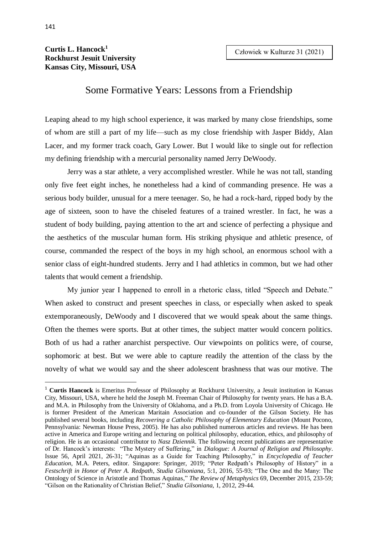## **Curtis L. Hancock<sup>1</sup> Rockhurst Jesuit University Kansas City, Missouri, USA**

## Some Formative Years: Lessons from a Friendship

Leaping ahead to my high school experience, it was marked by many close friendships, some of whom are still a part of my life—such as my close friendship with Jasper Biddy, Alan Lacer, and my former track coach, Gary Lower. But I would like to single out for reflection my defining friendship with a mercurial personality named Jerry DeWoody.

Jerry was a star athlete, a very accomplished wrestler. While he was not tall, standing only five feet eight inches, he nonetheless had a kind of commanding presence. He was a serious body builder, unusual for a mere teenager. So, he had a rock-hard, ripped body by the age of sixteen, soon to have the chiseled features of a trained wrestler. In fact, he was a student of body building, paying attention to the art and science of perfecting a physique and the aesthetics of the muscular human form. His striking physique and athletic presence, of course, commanded the respect of the boys in my high school, an enormous school with a senior class of eight-hundred students. Jerry and I had athletics in common, but we had other talents that would cement a friendship.

My junior year I happened to enroll in a rhetoric class, titled "Speech and Debate." When asked to construct and present speeches in class, or especially when asked to speak extemporaneously, DeWoody and I discovered that we would speak about the same things. Often the themes were sports. But at other times, the subject matter would concern politics. Both of us had a rather anarchist perspective. Our viewpoints on politics were, of course, sophomoric at best. But we were able to capture readily the attention of the class by the novelty of what we would say and the sheer adolescent brashness that was our motive. The

-

<sup>1</sup> **Curtis Hancock** is Emeritus Professor of Philosophy at Rockhurst University, a Jesuit institution in Kansas City, Missouri, USA, where he held the Joseph M. Freeman Chair of Philosophy for twenty years. He has a B.A. and M.A. in Philosophy from the University of Oklahoma, and a Ph.D. from Loyola University of Chicago. He is former President of the American Maritain Association and co-founder of the Gilson Society. He has published several books, including *Recovering a Catholic Philosophy of Elementary Education* (Mount Pocono, Pennsylvania: Newman House Press, 2005). He has also published numerous articles and reviews. He has been active in America and Europe writing and lecturing on political philosophy, education, ethics, and philosophy of religion. He is an occasional contributor to *Nasz Dziennik*. The following recent publications are representative of Dr. Hancock's interests: "The Mystery of Suffering," in *Dialogue: A Journal of Religion and Philosophy*. Issue 56, April 2021, 26-31; "Aquinas as a Guide for Teaching Philosophy," in *Encyclopedia of Teacher Education*, M.A. Peters, editor. Singapore: Springer, 2019; "Peter Redpath's Philosophy of History" in a *Festschrift in Honor of Peter A. Redpath*, *Studia Gilsoniana*, 5:1, 2016, 55-93; "The One and the Many: The Ontology of Science in Aristotle and Thomas Aquinas," *The Review of Metaphysics* 69, December 2015, 233-59; "Gilson on the Rationality of Christian Belief," *Studia Gilsoniana*, 1, 2012, 29-44.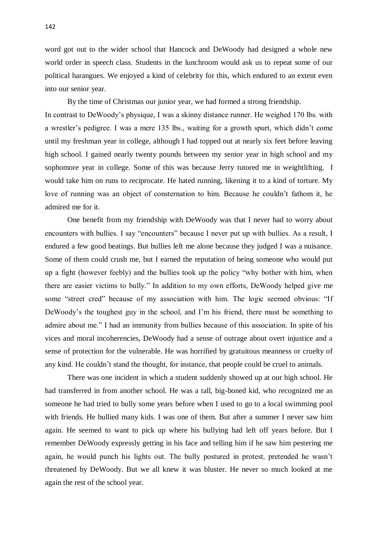word got out to the wider school that Hancock and DeWoody had designed a whole new world order in speech class. Students in the lunchroom would ask us to repeat some of our political harangues. We enjoyed a kind of celebrity for this, which endured to an extent even into our senior year.

By the time of Christmas our junior year, we had formed a strong friendship. In contrast to DeWoody's physique, I was a skinny distance runner. He weighed 170 lbs. with a wrestler's pedigree. I was a mere 135 lbs., waiting for a growth spurt, which didn't come until my freshman year in college, although I had topped out at nearly six feet before leaving high school. I gained nearly twenty pounds between my senior year in high school and my sophomore year in college. Some of this was because Jerry tutored me in weightlifting. I would take him on runs to reciprocate. He hated running, likening it to a kind of torture. My love of running was an object of consternation to him. Because he couldn't fathom it, he admired me for it.

One benefit from my friendship with DeWoody was that I never had to worry about encounters with bullies. I say "encounters" because I never put up with bullies. As a result, I endured a few good beatings. But bullies left me alone because they judged I was a nuisance. Some of them could crush me, but I earned the reputation of being someone who would put up a fight (however feebly) and the bullies took up the policy "why bother with him, when there are easier victims to bully." In addition to my own efforts, DeWoody helped give me some "street cred" because of my association with him. The logic seemed obvious: "If DeWoody's the toughest guy in the school, and I'm his friend, there must be something to admire about me." I had an immunity from bullies because of this association. In spite of his vices and moral incoherencies, DeWoody had a sense of outrage about overt injustice and a sense of protection for the vulnerable. He was horrified by gratuitous meanness or cruelty of any kind. He couldn't stand the thought, for instance, that people could be cruel to animals.

There was one incident in which a student suddenly showed up at our high school. He had transferred in from another school. He was a tall, big-boned kid, who recognized me as someone he had tried to bully some years before when I used to go to a local swimming pool with friends. He bullied many kids. I was one of them. But after a summer I never saw him again. He seemed to want to pick up where his bullying had left off years before. But I remember DeWoody expressly getting in his face and telling him if he saw him pestering me again, he would punch his lights out. The bully postured in protest, pretended he wasn't threatened by DeWoody. But we all knew it was bluster. He never so much looked at me again the rest of the school year.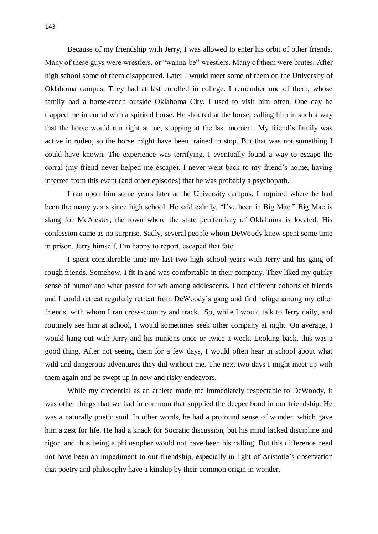Because of my friendship with Jerry, I was allowed to enter his orbit of other friends. Many of these guys were wrestlers, or "wanna-be" wrestlers. Many of them were brutes. After high school some of them disappeared. Later I would meet some of them on the University of Oklahoma campus. They had at last enrolled in college. I remember one of them, whose family had a horse-ranch outside Oklahoma City. I used to visit him often. One day he trapped me in corral with a spirited horse. He shouted at the horse, calling him in such a way that the horse would run right at me, stopping at the last moment. My friend's family was active in rodeo, so the horse might have been trained to stop. But that was not something I could have known. The experience was terrifying. I eventually found a way to escape the corral (my friend never helped me escape). I never went back to my friend's home, having inferred from this event (and other episodes) that he was probably a psychopath.

I ran upon him some years later at the University campus. I inquired where he had been the many years since high school. He said calmly, "I've been in Big Mac." Big Mac is slang for McAlester, the town where the state penitentiary of Oklahoma is located. His confession came as no surprise. Sadly, several people whom DeWoody knew spent some time in prison. Jerry himself, I'm happy to report, escaped that fate.

I spent considerable time my last two high school years with Jerry and his gang of rough friends. Somehow, I fit in and was comfortable in their company. They liked my quirky sense of humor and what passed for wit among adolescents. I had different cohorts of friends and I could retreat regularly retreat from DeWoody's gang and find refuge among my other friends, with whom I ran cross-country and track. So, while I would talk to Jerry daily, and routinely see him at school, I would sometimes seek other company at night. On average, I would hang out with Jerry and his minions once or twice a week. Looking back, this was a good thing. After not seeing them for a few days, I would often hear in school about what wild and dangerous adventures they did without me. The next two days I might meet up with them again and be swept up in new and risky endeavors.

While my credential as an athlete made me immediately respectable to DeWoody, it was other things that we had in common that supplied the deeper bond in our friendship. He was a naturally poetic soul. In other words, he had a profound sense of wonder, which gave him a zest for life. He had a knack for Socratic discussion, but his mind lacked discipline and rigor, and thus being a philosopher would not have been his calling. But this difference need not have been an impediment to our friendship, especially in light of Aristotle's observation that poetry and philosophy have a kinship by their common origin in wonder.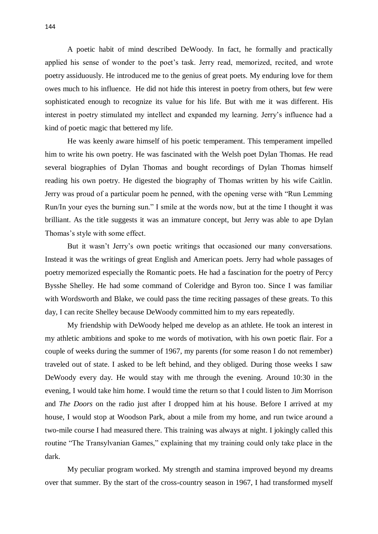A poetic habit of mind described DeWoody. In fact, he formally and practically applied his sense of wonder to the poet's task. Jerry read, memorized, recited, and wrote poetry assiduously. He introduced me to the genius of great poets. My enduring love for them owes much to his influence. He did not hide this interest in poetry from others, but few were sophisticated enough to recognize its value for his life. But with me it was different. His interest in poetry stimulated my intellect and expanded my learning. Jerry's influence had a kind of poetic magic that bettered my life.

He was keenly aware himself of his poetic temperament. This temperament impelled him to write his own poetry. He was fascinated with the Welsh poet Dylan Thomas. He read several biographies of Dylan Thomas and bought recordings of Dylan Thomas himself reading his own poetry. He digested the biography of Thomas written by his wife Caitlin. Jerry was proud of a particular poem he penned, with the opening verse with "Run Lemming Run/In your eyes the burning sun." I smile at the words now, but at the time I thought it was brilliant. As the title suggests it was an immature concept, but Jerry was able to ape Dylan Thomas's style with some effect.

But it wasn't Jerry's own poetic writings that occasioned our many conversations. Instead it was the writings of great English and American poets. Jerry had whole passages of poetry memorized especially the Romantic poets. He had a fascination for the poetry of Percy Bysshe Shelley. He had some command of Coleridge and Byron too. Since I was familiar with Wordsworth and Blake, we could pass the time reciting passages of these greats. To this day, I can recite Shelley because DeWoody committed him to my ears repeatedly.

My friendship with DeWoody helped me develop as an athlete. He took an interest in my athletic ambitions and spoke to me words of motivation, with his own poetic flair. For a couple of weeks during the summer of 1967, my parents (for some reason I do not remember) traveled out of state. I asked to be left behind, and they obliged. During those weeks I saw DeWoody every day. He would stay with me through the evening. Around 10:30 in the evening, I would take him home. I would time the return so that I could listen to Jim Morrison and *The Doors* on the radio just after I dropped him at his house. Before I arrived at my house, I would stop at Woodson Park, about a mile from my home, and run twice around a two-mile course I had measured there. This training was always at night. I jokingly called this routine "The Transylvanian Games," explaining that my training could only take place in the dark.

My peculiar program worked. My strength and stamina improved beyond my dreams over that summer. By the start of the cross-country season in 1967, I had transformed myself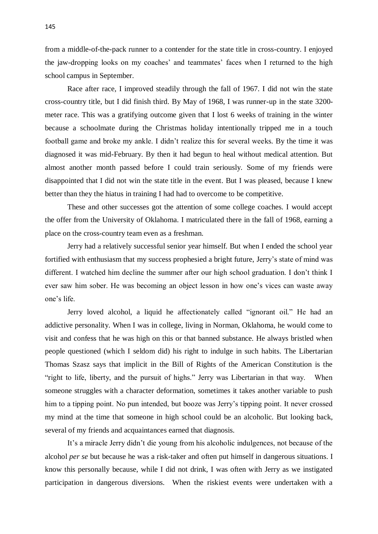from a middle-of-the-pack runner to a contender for the state title in cross-country. I enjoyed the jaw-dropping looks on my coaches' and teammates' faces when I returned to the high school campus in September.

Race after race, I improved steadily through the fall of 1967. I did not win the state cross-country title, but I did finish third. By May of 1968, I was runner-up in the state 3200 meter race. This was a gratifying outcome given that I lost 6 weeks of training in the winter because a schoolmate during the Christmas holiday intentionally tripped me in a touch football game and broke my ankle. I didn't realize this for several weeks. By the time it was diagnosed it was mid-February. By then it had begun to heal without medical attention. But almost another month passed before I could train seriously. Some of my friends were disappointed that I did not win the state title in the event. But I was pleased, because I knew better than they the hiatus in training I had had to overcome to be competitive.

These and other successes got the attention of some college coaches. I would accept the offer from the University of Oklahoma. I matriculated there in the fall of 1968, earning a place on the cross-country team even as a freshman.

Jerry had a relatively successful senior year himself. But when I ended the school year fortified with enthusiasm that my success prophesied a bright future, Jerry's state of mind was different. I watched him decline the summer after our high school graduation. I don't think I ever saw him sober. He was becoming an object lesson in how one's vices can waste away one's life.

Jerry loved alcohol, a liquid he affectionately called "ignorant oil." He had an addictive personality. When I was in college, living in Norman, Oklahoma, he would come to visit and confess that he was high on this or that banned substance. He always bristled when people questioned (which I seldom did) his right to indulge in such habits. The Libertarian Thomas Szasz says that implicit in the Bill of Rights of the American Constitution is the "right to life, liberty, and the pursuit of highs." Jerry was Libertarian in that way. When someone struggles with a character deformation, sometimes it takes another variable to push him to a tipping point. No pun intended, but booze was Jerry's tipping point. It never crossed my mind at the time that someone in high school could be an alcoholic. But looking back, several of my friends and acquaintances earned that diagnosis.

It's a miracle Jerry didn't die young from his alcoholic indulgences, not because of the alcohol *per se* but because he was a risk-taker and often put himself in dangerous situations. I know this personally because, while I did not drink, I was often with Jerry as we instigated participation in dangerous diversions. When the riskiest events were undertaken with a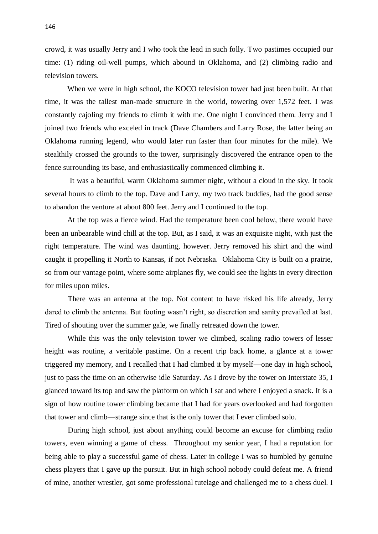crowd, it was usually Jerry and I who took the lead in such folly. Two pastimes occupied our time: (1) riding oil-well pumps, which abound in Oklahoma, and (2) climbing radio and television towers.

When we were in high school, the KOCO television tower had just been built. At that time, it was the tallest man-made structure in the world, towering over 1,572 feet. I was constantly cajoling my friends to climb it with me. One night I convinced them. Jerry and I joined two friends who exceled in track (Dave Chambers and Larry Rose, the latter being an Oklahoma running legend, who would later run faster than four minutes for the mile). We stealthily crossed the grounds to the tower, surprisingly discovered the entrance open to the fence surrounding its base, and enthusiastically commenced climbing it.

It was a beautiful, warm Oklahoma summer night, without a cloud in the sky. It took several hours to climb to the top. Dave and Larry, my two track buddies, had the good sense to abandon the venture at about 800 feet. Jerry and I continued to the top.

At the top was a fierce wind. Had the temperature been cool below, there would have been an unbearable wind chill at the top. But, as I said, it was an exquisite night, with just the right temperature. The wind was daunting, however. Jerry removed his shirt and the wind caught it propelling it North to Kansas, if not Nebraska. Oklahoma City is built on a prairie, so from our vantage point, where some airplanes fly, we could see the lights in every direction for miles upon miles.

There was an antenna at the top. Not content to have risked his life already, Jerry dared to climb the antenna. But footing wasn't right, so discretion and sanity prevailed at last. Tired of shouting over the summer gale, we finally retreated down the tower.

While this was the only television tower we climbed, scaling radio towers of lesser height was routine, a veritable pastime. On a recent trip back home, a glance at a tower triggered my memory, and I recalled that I had climbed it by myself—one day in high school, just to pass the time on an otherwise idle Saturday. As I drove by the tower on Interstate 35, I glanced toward its top and saw the platform on which I sat and where I enjoyed a snack. It is a sign of how routine tower climbing became that I had for years overlooked and had forgotten that tower and climb—strange since that is the only tower that I ever climbed solo.

During high school, just about anything could become an excuse for climbing radio towers, even winning a game of chess. Throughout my senior year, I had a reputation for being able to play a successful game of chess. Later in college I was so humbled by genuine chess players that I gave up the pursuit. But in high school nobody could defeat me. A friend of mine, another wrestler, got some professional tutelage and challenged me to a chess duel. I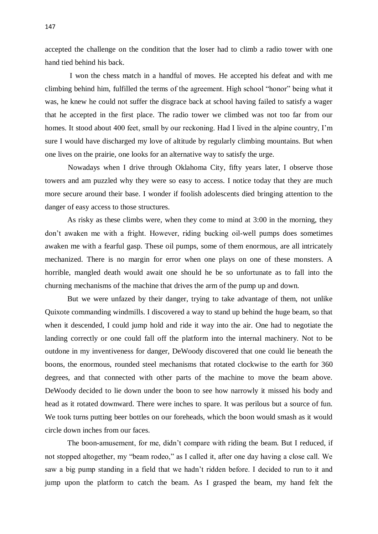accepted the challenge on the condition that the loser had to climb a radio tower with one hand tied behind his back.

I won the chess match in a handful of moves. He accepted his defeat and with me climbing behind him, fulfilled the terms of the agreement. High school "honor" being what it was, he knew he could not suffer the disgrace back at school having failed to satisfy a wager that he accepted in the first place. The radio tower we climbed was not too far from our homes. It stood about 400 feet, small by our reckoning. Had I lived in the alpine country, I'm sure I would have discharged my love of altitude by regularly climbing mountains. But when one lives on the prairie, one looks for an alternative way to satisfy the urge.

Nowadays when I drive through Oklahoma City, fifty years later, I observe those towers and am puzzled why they were so easy to access. I notice today that they are much more secure around their base. I wonder if foolish adolescents died bringing attention to the danger of easy access to those structures.

As risky as these climbs were, when they come to mind at 3:00 in the morning, they don't awaken me with a fright. However, riding bucking oil-well pumps does sometimes awaken me with a fearful gasp. These oil pumps, some of them enormous, are all intricately mechanized. There is no margin for error when one plays on one of these monsters. A horrible, mangled death would await one should he be so unfortunate as to fall into the churning mechanisms of the machine that drives the arm of the pump up and down.

But we were unfazed by their danger, trying to take advantage of them, not unlike Quixote commanding windmills. I discovered a way to stand up behind the huge beam, so that when it descended, I could jump hold and ride it way into the air. One had to negotiate the landing correctly or one could fall off the platform into the internal machinery. Not to be outdone in my inventiveness for danger, DeWoody discovered that one could lie beneath the boons, the enormous, rounded steel mechanisms that rotated clockwise to the earth for 360 degrees, and that connected with other parts of the machine to move the beam above. DeWoody decided to lie down under the boon to see how narrowly it missed his body and head as it rotated downward. There were inches to spare. It was perilous but a source of fun. We took turns putting beer bottles on our foreheads, which the boon would smash as it would circle down inches from our faces.

The boon-amusement, for me, didn't compare with riding the beam. But I reduced, if not stopped altogether, my "beam rodeo," as I called it, after one day having a close call. We saw a big pump standing in a field that we hadn't ridden before. I decided to run to it and jump upon the platform to catch the beam. As I grasped the beam, my hand felt the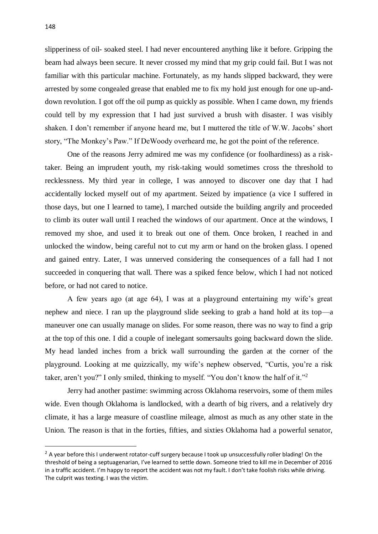slipperiness of oil- soaked steel. I had never encountered anything like it before. Gripping the beam had always been secure. It never crossed my mind that my grip could fail. But I was not familiar with this particular machine. Fortunately, as my hands slipped backward, they were arrested by some congealed grease that enabled me to fix my hold just enough for one up-anddown revolution. I got off the oil pump as quickly as possible. When I came down, my friends could tell by my expression that I had just survived a brush with disaster. I was visibly shaken. I don't remember if anyone heard me, but I muttered the title of W.W. Jacobs' short story, "The Monkey's Paw." If DeWoody overheard me, he got the point of the reference.

One of the reasons Jerry admired me was my confidence (or foolhardiness) as a risktaker. Being an imprudent youth, my risk-taking would sometimes cross the threshold to recklessness. My third year in college, I was annoyed to discover one day that I had accidentally locked myself out of my apartment. Seized by impatience (a vice I suffered in those days, but one I learned to tame), I marched outside the building angrily and proceeded to climb its outer wall until I reached the windows of our apartment. Once at the windows, I removed my shoe, and used it to break out one of them. Once broken, I reached in and unlocked the window, being careful not to cut my arm or hand on the broken glass. I opened and gained entry. Later, I was unnerved considering the consequences of a fall had I not succeeded in conquering that wall. There was a spiked fence below, which I had not noticed before, or had not cared to notice.

A few years ago (at age 64), I was at a playground entertaining my wife's great nephew and niece. I ran up the playground slide seeking to grab a hand hold at its top—a maneuver one can usually manage on slides. For some reason, there was no way to find a grip at the top of this one. I did a couple of inelegant somersaults going backward down the slide. My head landed inches from a brick wall surrounding the garden at the corner of the playground. Looking at me quizzically, my wife's nephew observed, "Curtis, you're a risk taker, aren't you?" I only smiled, thinking to myself. "You don't know the half of it."<sup>2</sup>

Jerry had another pastime: swimming across Oklahoma reservoirs, some of them miles wide. Even though Oklahoma is landlocked, with a dearth of big rivers, and a relatively dry climate, it has a large measure of coastline mileage, almost as much as any other state in the Union. The reason is that in the forties, fifties, and sixties Oklahoma had a powerful senator,

-

<sup>&</sup>lt;sup>2</sup> A year before this I underwent rotator-cuff surgery because I took up unsuccessfully roller blading! On the threshold of being a septuagenarian, I've learned to settle down. Someone tried to kill me in December of 2016 in a traffic accident. I'm happy to report the accident was not my fault. I don't take foolish risks while driving. The culprit was texting. I was the victim.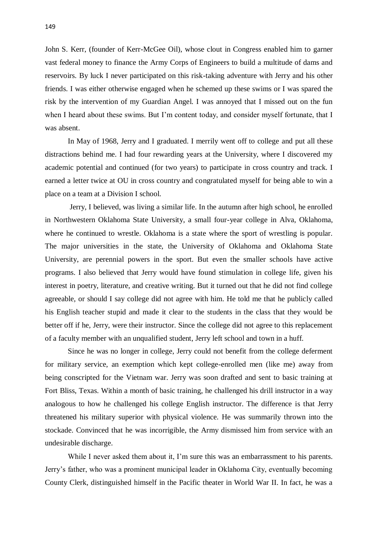John S. Kerr, (founder of Kerr-McGee Oil), whose clout in Congress enabled him to garner vast federal money to finance the Army Corps of Engineers to build a multitude of dams and reservoirs. By luck I never participated on this risk-taking adventure with Jerry and his other friends. I was either otherwise engaged when he schemed up these swims or I was spared the risk by the intervention of my Guardian Angel. I was annoyed that I missed out on the fun when I heard about these swims. But I'm content today, and consider myself fortunate, that I was absent.

In May of 1968, Jerry and I graduated. I merrily went off to college and put all these distractions behind me. I had four rewarding years at the University, where I discovered my academic potential and continued (for two years) to participate in cross country and track. I earned a letter twice at OU in cross country and congratulated myself for being able to win a place on a team at a Division I school.

Jerry, I believed, was living a similar life. In the autumn after high school, he enrolled in Northwestern Oklahoma State University, a small four-year college in Alva, Oklahoma, where he continued to wrestle. Oklahoma is a state where the sport of wrestling is popular. The major universities in the state, the University of Oklahoma and Oklahoma State University, are perennial powers in the sport. But even the smaller schools have active programs. I also believed that Jerry would have found stimulation in college life, given his interest in poetry, literature, and creative writing. But it turned out that he did not find college agreeable, or should I say college did not agree with him. He told me that he publicly called his English teacher stupid and made it clear to the students in the class that they would be better off if he, Jerry, were their instructor. Since the college did not agree to this replacement of a faculty member with an unqualified student, Jerry left school and town in a huff.

Since he was no longer in college, Jerry could not benefit from the college deferment for military service, an exemption which kept college-enrolled men (like me) away from being conscripted for the Vietnam war. Jerry was soon drafted and sent to basic training at Fort Bliss, Texas. Within a month of basic training, he challenged his drill instructor in a way analogous to how he challenged his college English instructor. The difference is that Jerry threatened his military superior with physical violence. He was summarily thrown into the stockade. Convinced that he was incorrigible, the Army dismissed him from service with an undesirable discharge.

While I never asked them about it, I'm sure this was an embarrassment to his parents. Jerry's father, who was a prominent municipal leader in Oklahoma City, eventually becoming County Clerk, distinguished himself in the Pacific theater in World War II. In fact, he was a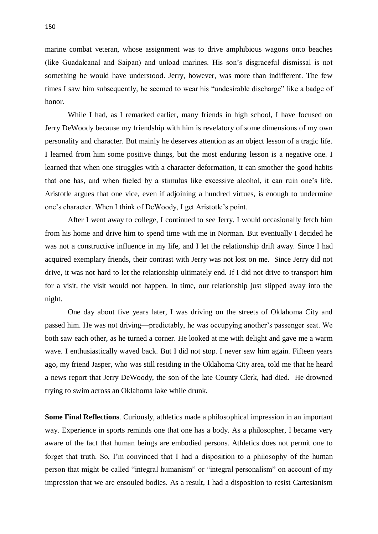marine combat veteran, whose assignment was to drive amphibious wagons onto beaches (like Guadalcanal and Saipan) and unload marines. His son's disgraceful dismissal is not something he would have understood. Jerry, however, was more than indifferent. The few times I saw him subsequently, he seemed to wear his "undesirable discharge" like a badge of honor.

While I had, as I remarked earlier, many friends in high school, I have focused on Jerry DeWoody because my friendship with him is revelatory of some dimensions of my own personality and character. But mainly he deserves attention as an object lesson of a tragic life. I learned from him some positive things, but the most enduring lesson is a negative one. I learned that when one struggles with a character deformation, it can smother the good habits that one has, and when fueled by a stimulus like excessive alcohol, it can ruin one's life. Aristotle argues that one vice, even if adjoining a hundred virtues, is enough to undermine one's character. When I think of DeWoody, I get Aristotle's point.

After I went away to college, I continued to see Jerry. I would occasionally fetch him from his home and drive him to spend time with me in Norman. But eventually I decided he was not a constructive influence in my life, and I let the relationship drift away. Since I had acquired exemplary friends, their contrast with Jerry was not lost on me. Since Jerry did not drive, it was not hard to let the relationship ultimately end. If I did not drive to transport him for a visit, the visit would not happen. In time, our relationship just slipped away into the night.

One day about five years later, I was driving on the streets of Oklahoma City and passed him. He was not driving—predictably, he was occupying another's passenger seat. We both saw each other, as he turned a corner. He looked at me with delight and gave me a warm wave. I enthusiastically waved back. But I did not stop. I never saw him again. Fifteen years ago, my friend Jasper, who was still residing in the Oklahoma City area, told me that he heard a news report that Jerry DeWoody, the son of the late County Clerk, had died. He drowned trying to swim across an Oklahoma lake while drunk.

**Some Final Reflections**. Curiously, athletics made a philosophical impression in an important way. Experience in sports reminds one that one has a body. As a philosopher, I became very aware of the fact that human beings are embodied persons. Athletics does not permit one to forget that truth. So, I'm convinced that I had a disposition to a philosophy of the human person that might be called "integral humanism" or "integral personalism" on account of my impression that we are ensouled bodies. As a result, I had a disposition to resist Cartesianism